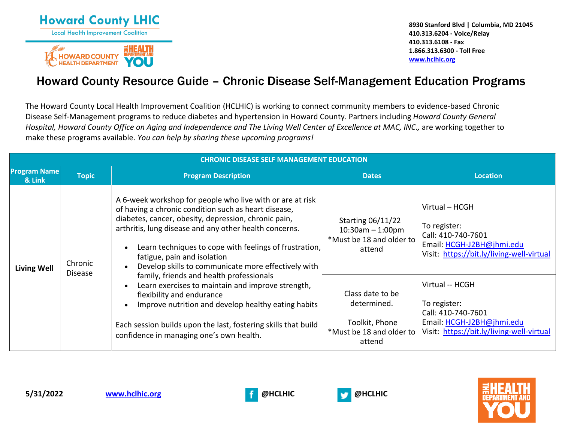



**8930 Stanford Blvd | Columbia, MD 21045 410.313.6204 - Voice/Relay 410.313.6108 - Fax 1.866.313.6300 - Toll Free [www.hclhic.org](http://www.hclhic.org/)**

## Howard County Resource Guide – Chronic Disease Self-Management Education Programs

The Howard County Local Health Improvement Coalition (HCLHIC) is working to connect community members to evidence-based Chronic Disease Self-Management programs to reduce diabetes and hypertension in Howard County. Partners including *Howard County General Hospital, Howard County Office on Aging and Independence and The Living Well Center of Excellence at MAC, INC.,* are working together to make these programs available. *You can help by sharing these upcoming programs!*

| <b>CHRONIC DISEASE SELF MANAGEMENT EDUCATION</b> |                                                                                                                                                                                                                                                                                                                                                                                                                                                                                                                                                                                            |                                                                                                                       |                                                                                                                                |                                                                                                                                 |  |
|--------------------------------------------------|--------------------------------------------------------------------------------------------------------------------------------------------------------------------------------------------------------------------------------------------------------------------------------------------------------------------------------------------------------------------------------------------------------------------------------------------------------------------------------------------------------------------------------------------------------------------------------------------|-----------------------------------------------------------------------------------------------------------------------|--------------------------------------------------------------------------------------------------------------------------------|---------------------------------------------------------------------------------------------------------------------------------|--|
| <b>Program Name</b><br>& Link                    | <b>Topic</b>                                                                                                                                                                                                                                                                                                                                                                                                                                                                                                                                                                               | <b>Program Description</b>                                                                                            | <b>Dates</b>                                                                                                                   | <b>Location</b>                                                                                                                 |  |
| <b>Living Well</b>                               | A 6-week workshop for people who live with or are at risk<br>of having a chronic condition such as heart disease,<br>diabetes, cancer, obesity, depression, chronic pain,<br>arthritis, lung disease and any other health concerns.<br>Learn techniques to cope with feelings of frustration,<br>fatigue, pain and isolation<br>Chronic<br>Develop skills to communicate more effectively with<br><b>Disease</b><br>family, friends and health professionals<br>Learn exercises to maintain and improve strength,<br>flexibility and endurance<br>confidence in managing one's own health. | <b>Starting 06/11/22</b><br>$10:30$ am $- 1:00$ pm<br>*Must be 18 and older to<br>attend                              | Virtual - HCGH<br>To register:<br>Call: 410-740-7601<br>Email: HCGH-J2BH@jhmi.edu<br>Visit: https://bit.ly/living-well-virtual |                                                                                                                                 |  |
|                                                  |                                                                                                                                                                                                                                                                                                                                                                                                                                                                                                                                                                                            | Improve nutrition and develop healthy eating habits<br>Each session builds upon the last, fostering skills that build | Class date to be<br>determined.<br>Toolkit, Phone<br>*Must be 18 and older to<br>attend                                        | Virtual -- HCGH<br>To register:<br>Call: 410-740-7601<br>Email: HCGH-J2BH@jhmi.edu<br>Visit: https://bit.ly/living-well-virtual |  |





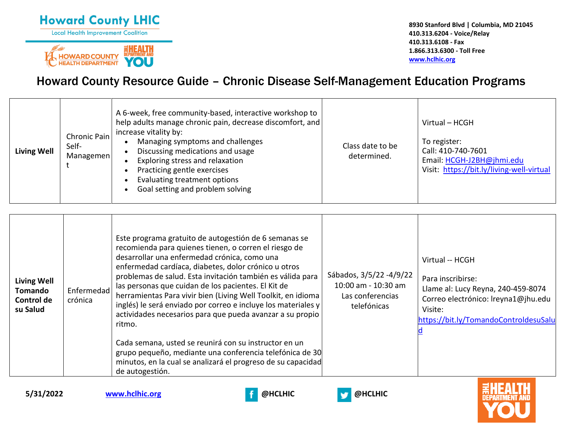



**8930 Stanford Blvd | Columbia, MD 21045 410.313.6204 - Voice/Relay 410.313.6108 - Fax 1.866.313.6300 - Toll Free [www.hclhic.org](http://www.hclhic.org/)**

# Howard County Resource Guide – Chronic Disease Self-Management Education Programs

| <b>Living Well</b> | Chronic Pain<br>Self-<br>Managemen | A 6-week, free community-based, interactive workshop to<br>help adults manage chronic pain, decrease discomfort, and<br>increase vitality by:<br>Managing symptoms and challenges<br>Discussing medications and usage<br>Exploring stress and relaxation<br>Practicing gentle exercises<br>Evaluating treatment options<br>Goal setting and problem solving | Class date to be<br>determined. | Virtual – HCGH<br>To register:<br>Call: 410-740-7601<br>Email: HCGH-J2BH@jhmi.edu<br>Visit: https://bit.ly/living-well-virtual |
|--------------------|------------------------------------|-------------------------------------------------------------------------------------------------------------------------------------------------------------------------------------------------------------------------------------------------------------------------------------------------------------------------------------------------------------|---------------------------------|--------------------------------------------------------------------------------------------------------------------------------|
|--------------------|------------------------------------|-------------------------------------------------------------------------------------------------------------------------------------------------------------------------------------------------------------------------------------------------------------------------------------------------------------------------------------------------------------|---------------------------------|--------------------------------------------------------------------------------------------------------------------------------|

| <b>Living Well</b><br>Tomando<br>Control de<br>su Salud | Enfermedad<br>crónica | Este programa gratuito de autogestión de 6 semanas se<br>recomienda para quienes tienen, o corren el riesgo de<br>desarrollar una enfermedad crónica, como una<br>enfermedad cardíaca, diabetes, dolor crónico u otros<br>problemas de salud. Esta invitación también es válida para<br>las personas que cuidan de los pacientes. El Kit de<br>herramientas Para vivir bien (Living Well Toolkit, en idioma<br>inglés) le será enviado por correo e incluye los materiales y<br>actividades necesarios para que pueda avanzar a su propio<br>ritmo.<br>Cada semana, usted se reunirá con su instructor en un<br>grupo pequeño, mediante una conferencia telefónica de 30<br>minutos, en la cual se analizará el progreso de su capacidad<br>de autogestión. | Sábados, 3/5/22 -4/9/22<br>10:00 am - 10:30 am<br>Las conferencias<br>telefónicas | Virtual -- HCGH<br>Para inscribirse:<br>Llame al: Lucy Reyna, 240-459-8074<br>Correo electrónico: Ireyna1@jhu.edu<br>Visite:<br>https://bit.ly/TomandoControldesuSalu |
|---------------------------------------------------------|-----------------------|-------------------------------------------------------------------------------------------------------------------------------------------------------------------------------------------------------------------------------------------------------------------------------------------------------------------------------------------------------------------------------------------------------------------------------------------------------------------------------------------------------------------------------------------------------------------------------------------------------------------------------------------------------------------------------------------------------------------------------------------------------------|-----------------------------------------------------------------------------------|-----------------------------------------------------------------------------------------------------------------------------------------------------------------------|
|---------------------------------------------------------|-----------------------|-------------------------------------------------------------------------------------------------------------------------------------------------------------------------------------------------------------------------------------------------------------------------------------------------------------------------------------------------------------------------------------------------------------------------------------------------------------------------------------------------------------------------------------------------------------------------------------------------------------------------------------------------------------------------------------------------------------------------------------------------------------|-----------------------------------------------------------------------------------|-----------------------------------------------------------------------------------------------------------------------------------------------------------------------|



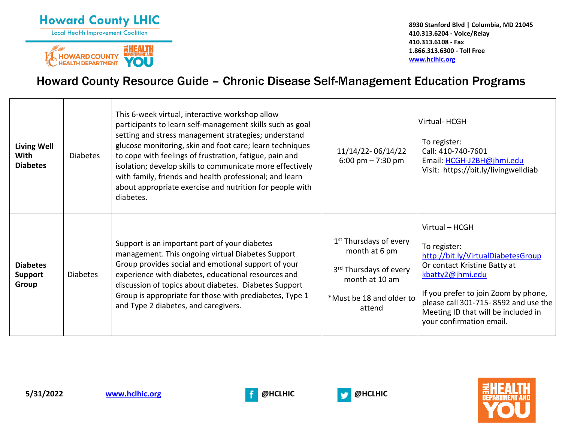



**8930 Stanford Blvd | Columbia, MD 21045 410.313.6204 - Voice/Relay 410.313.6108 - Fax 1.866.313.6300 - Toll Free [www.hclhic.org](http://www.hclhic.org/)**

# Howard County Resource Guide – Chronic Disease Self-Management Education Programs

| <b>Living Well</b><br>With<br><b>Diabetes</b> | <b>Diabetes</b> | This 6-week virtual, interactive workshop allow<br>participants to learn self-management skills such as goal<br>setting and stress management strategies; understand<br>glucose monitoring, skin and foot care; learn techniques<br>to cope with feelings of frustration, fatigue, pain and<br>isolation; develop skills to communicate more effectively<br>with family, friends and health professional; and learn<br>about appropriate exercise and nutrition for people with<br>diabetes. | 11/14/22-06/14/22<br>$6:00 \text{ pm} - 7:30 \text{ pm}$                                                                                          | Virtual-HCGH<br>To register:<br>Call: 410-740-7601<br>Email: HCGH-J2BH@jhmi.edu<br>Visit: https://bit.ly/livingwelldiab                                                                                                                                                     |
|-----------------------------------------------|-----------------|----------------------------------------------------------------------------------------------------------------------------------------------------------------------------------------------------------------------------------------------------------------------------------------------------------------------------------------------------------------------------------------------------------------------------------------------------------------------------------------------|---------------------------------------------------------------------------------------------------------------------------------------------------|-----------------------------------------------------------------------------------------------------------------------------------------------------------------------------------------------------------------------------------------------------------------------------|
| <b>Diabetes</b><br><b>Support</b><br>Group    | <b>Diabetes</b> | Support is an important part of your diabetes<br>management. This ongoing virtual Diabetes Support<br>Group provides social and emotional support of your<br>experience with diabetes, educational resources and<br>discussion of topics about diabetes. Diabetes Support<br>Group is appropriate for those with prediabetes, Type 1<br>and Type 2 diabetes, and caregivers.                                                                                                                 | 1 <sup>st</sup> Thursdays of every<br>month at 6 pm<br>3 <sup>rd</sup> Thursdays of every<br>month at 10 am<br>*Must be 18 and older to<br>attend | Virtual - HCGH<br>To register:<br>http://bit.ly/VirtualDiabetesGroup<br>Or contact Kristine Batty at<br>kbatty2@jhmi.edu<br>If you prefer to join Zoom by phone,<br>please call 301-715-8592 and use the<br>Meeting ID that will be included in<br>your confirmation email. |



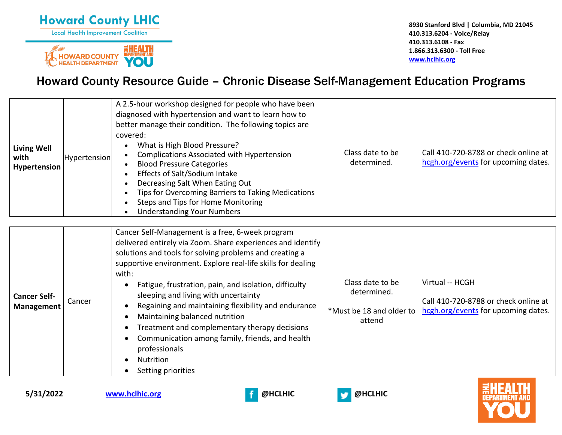



**8930 Stanford Blvd | Columbia, MD 21045 410.313.6204 - Voice/Relay 410.313.6108 - Fax 1.866.313.6300 - Toll Free [www.hclhic.org](http://www.hclhic.org/)**

## Howard County Resource Guide – Chronic Disease Self-Management Education Programs

| <b>Living Well</b><br>with<br>Hypertension | Hypertension | A 2.5-hour workshop designed for people who have been<br>diagnosed with hypertension and want to learn how to<br>better manage their condition. The following topics are<br>covered:<br>What is High Blood Pressure?<br><b>Complications Associated with Hypertension</b><br><b>Blood Pressure Categories</b><br>Effects of Salt/Sodium Intake<br>Decreasing Salt When Eating Out<br>Tips for Overcoming Barriers to Taking Medications<br>Steps and Tips for Home Monitoring<br><b>Understanding Your Numbers</b> | Class date to be<br>determined. | Call 410-720-8788 or check online at<br>hcgh.org/events for upcoming dates. |
|--------------------------------------------|--------------|--------------------------------------------------------------------------------------------------------------------------------------------------------------------------------------------------------------------------------------------------------------------------------------------------------------------------------------------------------------------------------------------------------------------------------------------------------------------------------------------------------------------|---------------------------------|-----------------------------------------------------------------------------|
|                                            |              | Cancer Self-Management is a free, 6-week program<br>delivered entirely via Zoom. Share experiences and identify<br>solutions and tools for solving problems and creating a<br>supportive environment. Explore real-life skills for dealing                                                                                                                                                                                                                                                                         |                                 |                                                                             |

| <b>Cancer Self-</b><br><b>Management</b> | Cancer | with:<br>Fatigue, frustration, pain, and isolation, difficulty<br>sleeping and living with uncertainty<br>Regaining and maintaining flexibility and endurance<br>Maintaining balanced nutrition<br>Treatment and complementary therapy decisions<br>Communication among family, friends, and health<br>professionals<br><b>Nutrition</b><br>Setting priorities | Class date to be<br>determined.<br>attend | Virtual -- HCGH<br>Call 410-720-8788 or check online at<br>*Must be 18 and older to   hcgh.org/events for upcoming dates. |
|------------------------------------------|--------|----------------------------------------------------------------------------------------------------------------------------------------------------------------------------------------------------------------------------------------------------------------------------------------------------------------------------------------------------------------|-------------------------------------------|---------------------------------------------------------------------------------------------------------------------------|
|------------------------------------------|--------|----------------------------------------------------------------------------------------------------------------------------------------------------------------------------------------------------------------------------------------------------------------------------------------------------------------------------------------------------------------|-------------------------------------------|---------------------------------------------------------------------------------------------------------------------------|